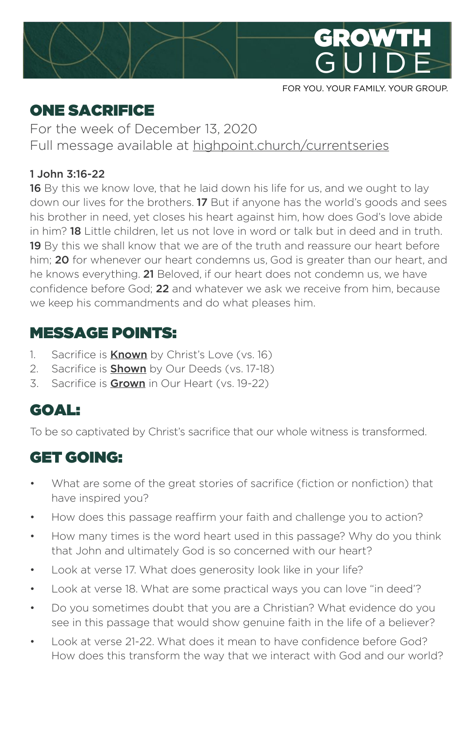



FOR YOU. YOUR FAMILY. YOUR GROUP.

## ONE SACRIFICE

For the week of December 13, 2020 Full message available at [highpoint.church/currentseries](http://highpoint.church/currentseries)

#### 1 John 3:16-22

**16** By this we know love, that he laid down his life for us, and we ought to lay down our lives for the brothers. 17 But if anyone has the world's goods and sees his brother in need, yet closes his heart against him, how does God's love abide in him? 18 Little children, let us not love in word or talk but in deed and in truth. 19 By this we shall know that we are of the truth and reassure our heart before him; 20 for whenever our heart condemns us, God is greater than our heart, and he knows everything. 21 Beloved, if our heart does not condemn us, we have confidence before God; 22 and whatever we ask we receive from him, because we keep his commandments and do what pleases him.

#### MESSAGE POINTS:

- 1. Sacrifice is **Known** by Christ's Love (vs. 16)
- 2. Sacrifice is **Shown** by Our Deeds (vs. 17-18)
- 3. Sacrifice is **Grown** in Our Heart (vs. 19-22)

# GOAL:

To be so captivated by Christ's sacrifice that our whole witness is transformed.

#### GET GOING:

- What are some of the great stories of sacrifice (fiction or nonfiction) that have inspired you?
- How does this passage reaffirm your faith and challenge you to action?
- How many times is the word heart used in this passage? Why do you think that John and ultimately God is so concerned with our heart?
- Look at verse 17. What does generosity look like in your life?
- Look at verse 18. What are some practical ways you can love "in deed'?
- Do you sometimes doubt that you are a Christian? What evidence do you see in this passage that would show genuine faith in the life of a believer?
- Look at verse 21-22. What does it mean to have confidence before God? How does this transform the way that we interact with God and our world?